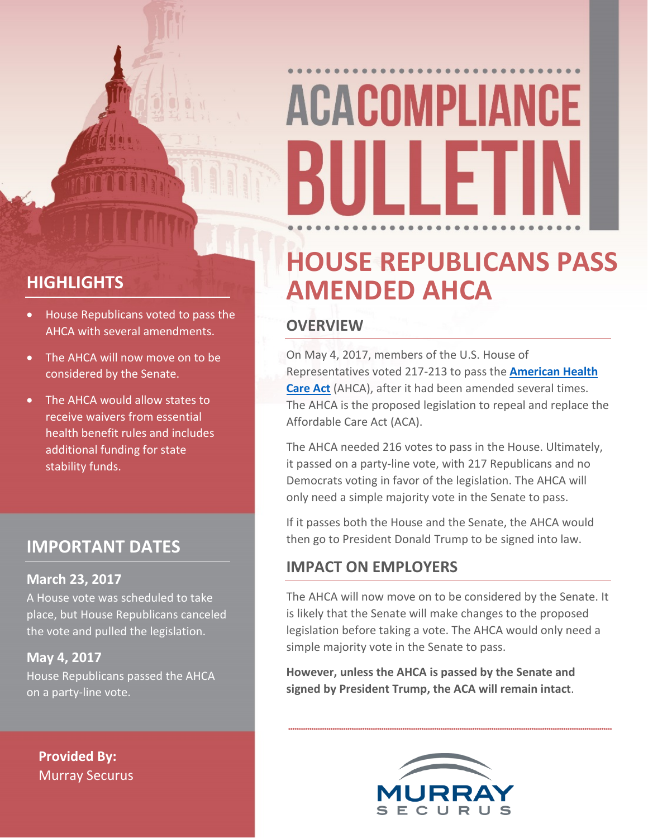### **HIGHLIGHTS**

- House Republicans voted to pass the AHCA with several amendments.
- The AHCA will now move on to be considered by the Senate.
- The AHCA would allow states to receive waivers from essential health benefit rules and includes additional funding for state stability funds.

### **IMPORTANT DATES**

### **March 23, 2017**

A House vote was scheduled to take place, but House Republicans canceled the vote and pulled the legislation.

### **May 4, 2017**

House Republicans passed the AHCA on a party-line vote.

**Provided By:** Murray Securus

### **HOUSE REPUBLICANS PASS AMENDED AHCA**

### **OVERVIEW**

On May 4, 2017, members of the U.S. House of Representatives voted 217-213 to pass the **[American Health](https://www.gpo.gov/fdsys/pkg/BILLS-115hr1628rh/pdf/BILLS-115hr1628rh.pdf)  [Care Act](https://www.gpo.gov/fdsys/pkg/BILLS-115hr1628rh/pdf/BILLS-115hr1628rh.pdf)** (AHCA), after it had been amended several times. The AHCA is the proposed legislation to repeal and replace the Affordable Care Act (ACA).

The AHCA needed 216 votes to pass in the House. Ultimately, it passed on a party-line vote, with 217 Republicans and no Democrats voting in favor of the legislation. The AHCA will only need a simple majority vote in the Senate to pass.

If it passes both the House and the Senate, the AHCA would then go to President Donald Trump to be signed into law.

### **IMPACT ON EMPLOYERS**

The AHCA will now move on to be considered by the Senate. It is likely that the Senate will make changes to the proposed legislation before taking a vote. The AHCA would only need a simple majority vote in the Senate to pass.

**However, unless the AHCA is passed by the Senate and signed by President Trump, the ACA will remain intact**.

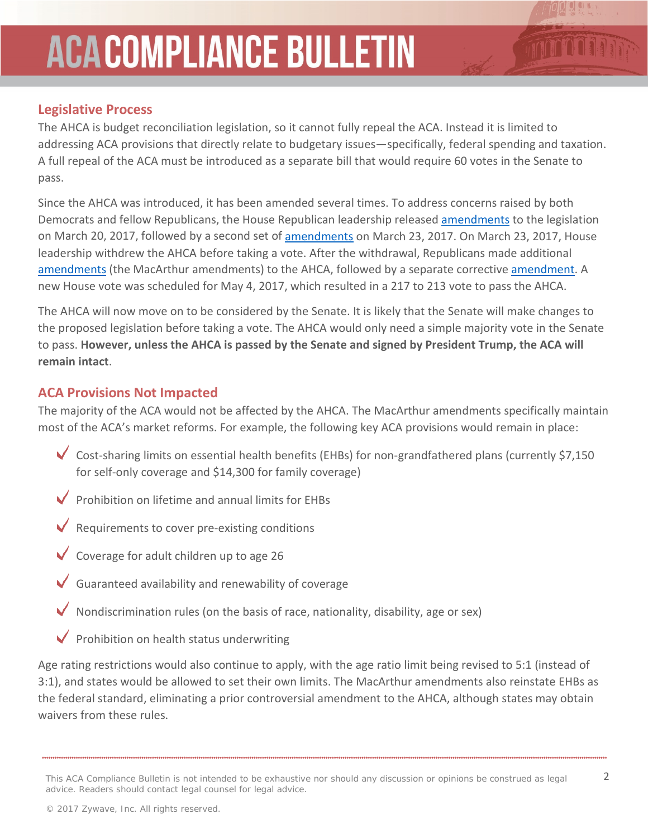### **Legislative Process**

The AHCA is budget reconciliation legislation, so it cannot fully repeal the ACA. Instead it is limited to addressing ACA provisions that directly relate to budgetary issues—specifically, federal spending and taxation. A full repeal of the ACA must be introduced as a separate bill that would require 60 votes in the Senate to pass.

Since the AHCA was introduced, it has been amended several times. To address concerns raised by both Democrats and fellow Republicans, the House Republican leadership released [amendments](https://rules.house.gov/sites/republicans.rules.house.gov/files/115/PDF/115-AHCA-SxS-MNGR-Policy.pdf) to the legislation on March 20, 2017, followed by a second set of [amendments](https://rules.house.gov/sites/republicans.rules.house.gov/files/115/115-AHCA-SxS-Policy2ndDegree.pdf) on March 23, 2017. On March 23, 2017, House leadership withdrew the AHCA before taking a vote. After the withdrawal, Republicans made additional [amendments](http://docs.house.gov/billsthisweek/20170424/MacArthur%20Amendment.pdf) (the MacArthur amendments) to the AHCA, followed by a separate corrective [amendment.](https://rules.house.gov/sites/republicans.rules.house.gov/files/115/OMNI/Upton%20Amendment.pdf) A new House vote was scheduled for May 4, 2017, which resulted in a 217 to 213 vote to pass the AHCA.

The AHCA will now move on to be considered by the Senate. It is likely that the Senate will make changes to the proposed legislation before taking a vote. The AHCA would only need a simple majority vote in the Senate to pass. **However, unless the AHCA is passed by the Senate and signed by President Trump, the ACA will remain intact**.

### **ACA Provisions Not Impacted**

The majority of the ACA would not be affected by the AHCA. The MacArthur amendments specifically maintain most of the ACA's market reforms. For example, the following key ACA provisions would remain in place:

- Cost-sharing limits on essential health benefits (EHBs) for non-grandfathered plans (currently \$7,150 for self-only coverage and \$14,300 for family coverage)
- $\triangledown$  Prohibition on lifetime and annual limits for EHBs
- $\vee$  Requirements to cover pre-existing conditions
- Coverage for adult children up to age 26
- Guaranteed availability and renewability of coverage
- Nondiscrimination rules (on the basis of race, nationality, disability, age or sex)
- Prohibition on health status underwriting

Age rating restrictions would also continue to apply, with the age ratio limit being revised to 5:1 (instead of 3:1), and states would be allowed to set their own limits. The MacArthur amendments also reinstate EHBs as the federal standard, eliminating a prior controversial amendment to the AHCA, although states may obtain waivers from these rules.

This ACA Compliance Bulletin is not intended to be exhaustive nor should any discussion or opinions be construed as legal 2 advice. Readers should contact legal counsel for legal advice.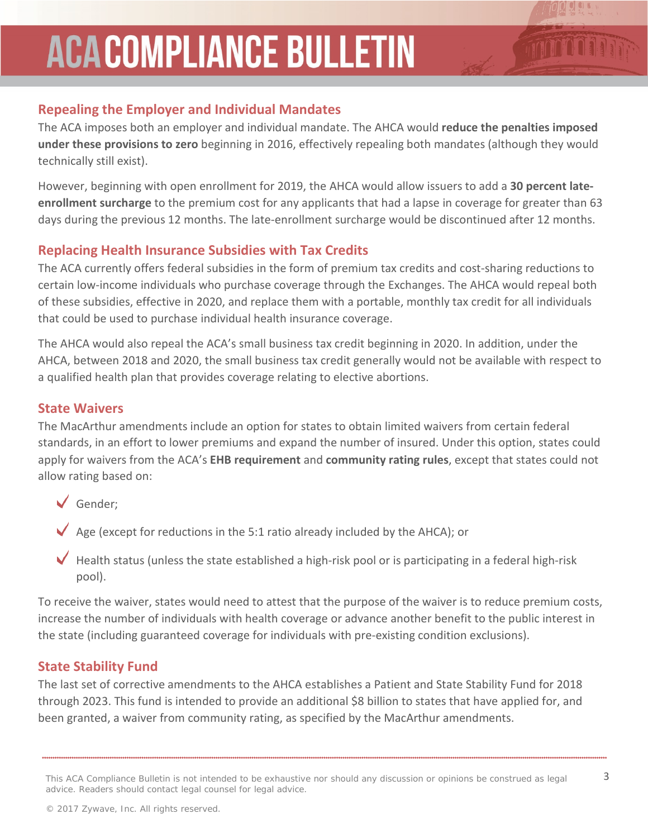### **Repealing the Employer and Individual Mandates**

The ACA imposes both an employer and individual mandate. The AHCA would **reduce the penalties imposed under these provisions to zero** beginning in 2016, effectively repealing both mandates (although they would technically still exist).

However, beginning with open enrollment for 2019, the AHCA would allow issuers to add a **30 percent lateenrollment surcharge** to the premium cost for any applicants that had a lapse in coverage for greater than 63 days during the previous 12 months. The late-enrollment surcharge would be discontinued after 12 months.

### **Replacing Health Insurance Subsidies with Tax Credits**

The ACA currently offers federal subsidies in the form of premium tax credits and cost-sharing reductions to certain low-income individuals who purchase coverage through the Exchanges. The AHCA would repeal both of these subsidies, effective in 2020, and replace them with a portable, monthly tax credit for all individuals that could be used to purchase individual health insurance coverage.

The AHCA would also repeal the ACA's small business tax credit beginning in 2020. In addition, under the AHCA, between 2018 and 2020, the small business tax credit generally would not be available with respect to a qualified health plan that provides coverage relating to elective abortions.

### **State Waivers**

The MacArthur amendments include an option for states to obtain limited waivers from certain federal standards, in an effort to lower premiums and expand the number of insured. Under this option, states could apply for waivers from the ACA's **EHB requirement** and **community rating rules**, except that states could not allow rating based on:

- Gender;
- $\blacktriangledown$  Age (except for reductions in the 5:1 ratio already included by the AHCA); or
- $\blacktriangledown$  Health status (unless the state established a high-risk pool or is participating in a federal high-risk pool).

To receive the waiver, states would need to attest that the purpose of the waiver is to reduce premium costs, increase the number of individuals with health coverage or advance another benefit to the public interest in the state (including guaranteed coverage for individuals with pre-existing condition exclusions).

### **State Stability Fund**

The last set of corrective amendments to the AHCA establishes a Patient and State Stability Fund for 2018 through 2023. This fund is intended to provide an additional \$8 billion to states that have applied for, and been granted, a waiver from community rating, as specified by the MacArthur amendments.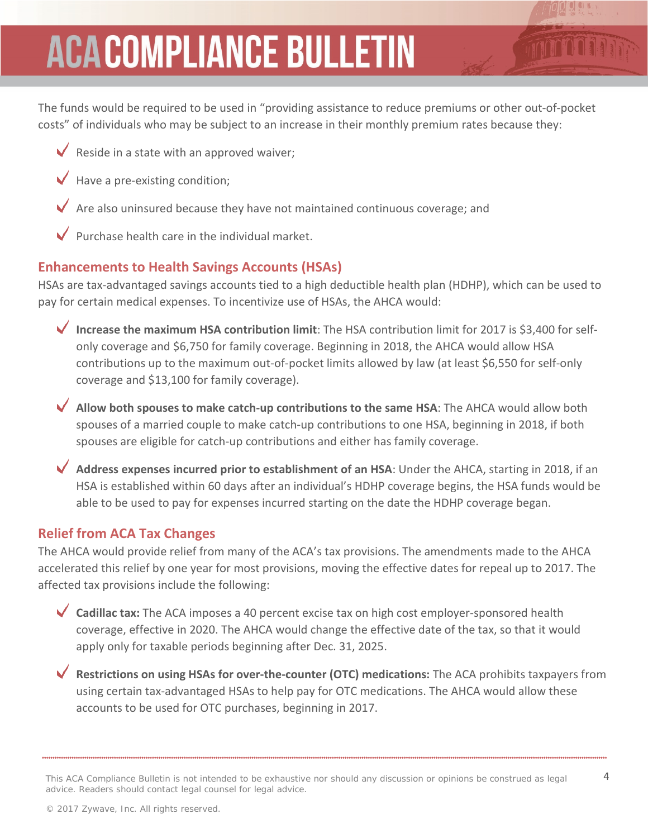The funds would be required to be used in "providing assistance to reduce premiums or other out-of-pocket costs" of individuals who may be subject to an increase in their monthly premium rates because they:

- Reside in a state with an approved waiver;
- Have a pre-existing condition;
- Are also uninsured because they have not maintained continuous coverage; and
- Purchase health care in the individual market.

### **Enhancements to Health Savings Accounts (HSAs)**

HSAs are tax-advantaged savings accounts tied to a high deductible health plan (HDHP), which can be used to pay for certain medical expenses. To incentivize use of HSAs, the AHCA would:

- **Increase the maximum HSA contribution limit**: The HSA contribution limit for 2017 is \$3,400 for selfonly coverage and \$6,750 for family coverage. Beginning in 2018, the AHCA would allow HSA contributions up to the maximum out-of-pocket limits allowed by law (at least \$6,550 for self-only coverage and \$13,100 for family coverage).
- **Allow both spouses to make catch-up contributions to the same HSA**: The AHCA would allow both spouses of a married couple to make catch-up contributions to one HSA, beginning in 2018, if both spouses are eligible for catch-up contributions and either has family coverage.
- **Address expenses incurred prior to establishment of an HSA**: Under the AHCA, starting in 2018, if an HSA is established within 60 days after an individual's HDHP coverage begins, the HSA funds would be able to be used to pay for expenses incurred starting on the date the HDHP coverage began.

### **Relief from ACA Tax Changes**

The AHCA would provide relief from many of the ACA's tax provisions. The amendments made to the AHCA accelerated this relief by one year for most provisions, moving the effective dates for repeal up to 2017. The affected tax provisions include the following:

- **Cadillac tax:** The ACA imposes a 40 percent excise tax on high cost employer-sponsored health coverage, effective in 2020. The AHCA would change the effective date of the tax, so that it would apply only for taxable periods beginning after Dec. 31, 2025.
- **Restrictions on using HSAs for over-the-counter (OTC) medications:** The ACA prohibits taxpayers from using certain tax-advantaged HSAs to help pay for OTC medications. The AHCA would allow these accounts to be used for OTC purchases, beginning in 2017.

This ACA Compliance Bulletin is not intended to be exhaustive nor should any discussion or opinions be construed as legal  $4$ advice. Readers should contact legal counsel for legal advice.